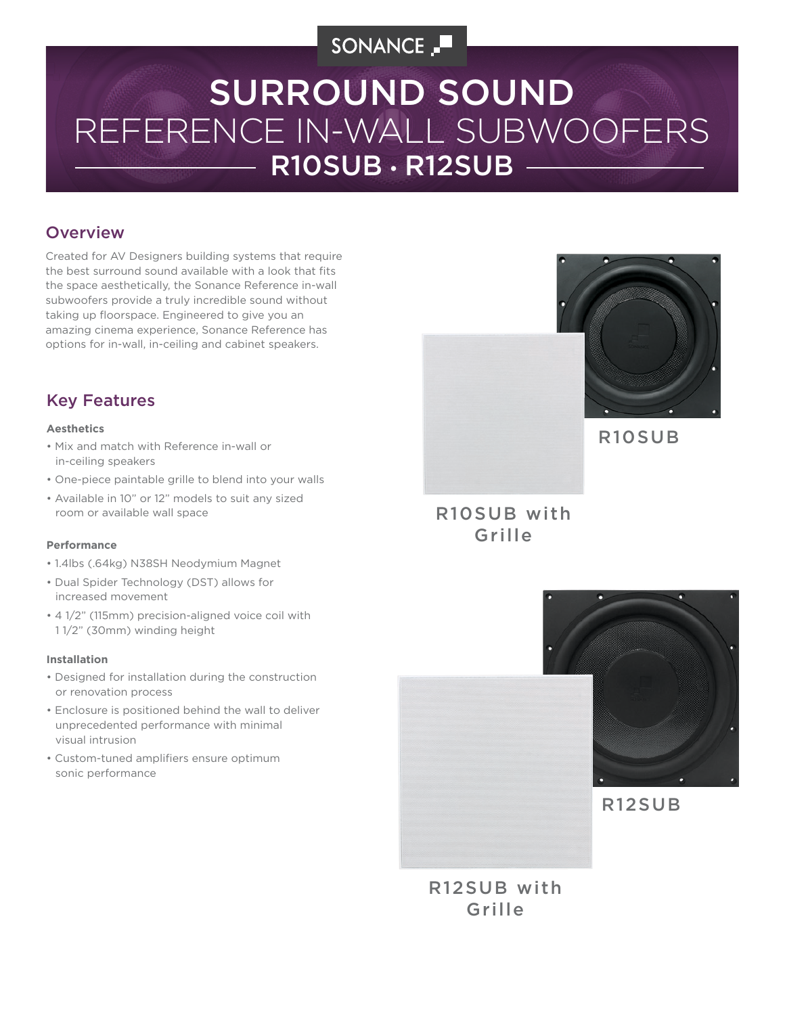# SONANCE \_

# R10SUB • R12SUB REFERENCE IN-WALL SUBWOOFERS SURROUND SOUND

## **Overview**

Created for AV Designers building systems that require the best surround sound available with a look that fits the space aesthetically, the Sonance Reference in-wall subwoofers provide a truly incredible sound without taking up floorspace. Engineered to give you an amazing cinema experience, Sonance Reference has options for in-wall, in-ceiling and cabinet speakers.

## Key Features

## **Aesthetics**

- Mix and match with Reference in-wall or in-ceiling speakers
- One-piece paintable grille to blend into your walls
- Available in 10" or 12" models to suit any sized room or available wall space

#### **Performance**

- 1.4lbs (.64kg) N38SH Neodymium Magnet
- Dual Spider Technology (DST) allows for increased movement
- 4 1/2" (115mm) precision-aligned voice coil with 1 1/2" (30mm) winding height

#### **Installation**

- Designed for installation during the construction or renovation process
- Enclosure is positioned behind the wall to deliver unprecedented performance with minimal visual intrusion
- Custom-tuned amplifiers ensure optimum sonic performance



## R10SUB with Grille





R12SUB

R12SUB with Grille